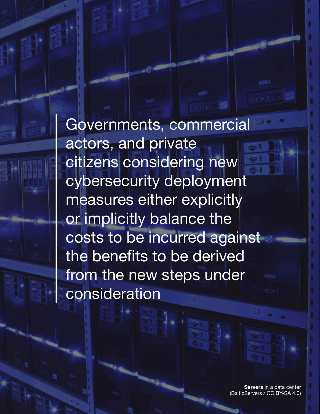Governments, commercial actors, and private citizens considering new cybersecurity deployment measures either explicitly or implicitly balance the costs to be incurred against the benefits to be derived from the new steps under consideration

> **Servers** in a data center (BalticServers / CC BY-SA 4.0)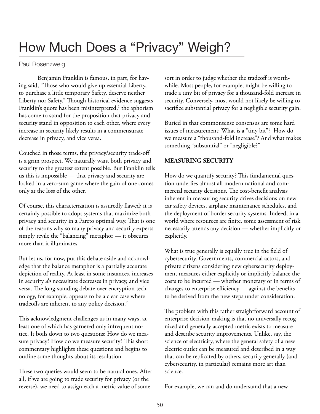# How Much Does a "Privacy" Weigh?

#### Paul Rosenzweig

Benjamin Franklin is famous, in part, for having said, "Those who would give up essential Liberty, to purchase a little temporary Safety, deserve neither Liberty nor Safety." Though historical evidence suggests Franklin's quote has been misinterpreted, $^1$  the aphorism has come to stand for the proposition that privacy and security stand in opposition to each other, where every increase in security likely results in a commensurate decrease in privacy, and vice versa.

Couched in those terms, the privacy/security trade-of is a grim prospect. We naturally want both privacy and security to the greatest extent possible. But Franklin tells us this is impossible — that privacy and security are locked in a zero-sum game where the gain of one comes only at the loss of the other.

Of course, this characterization is assuredly fawed; it is certainly possible to adopt systems that maximize both privacy and security in a Pareto optimal way. That is one of the reasons why so many privacy and security experts simply revile the "balancing" metaphor — it obscures more than it illuminates.

But let us, for now, put this debate aside and acknowledge that the balance metaphor is a partially accurate depiction of reality. At least in some instances, increases in security *do* necessitate decreases in privacy, and vice versa. The long-standing debate over encryption technology, for example, appears to be a clear case where tradeoffs are inherent to any policy decision.<sup>2</sup>

This acknowledgment challenges us in many ways, at least one of which has garnered only infrequent notice. It boils down to two questions: How do we measure privacy? How do we measure security? This short commentary highlights these questions and begins to outline some thoughts about its resolution.

These two queries would seem to be natural ones. After all, if we are going to trade security for privacy (or the reverse), we need to assign each a metric value of some

sort in order to judge whether the tradeoff is worthwhile. Most people, for example, might be willing to trade a tiny bit of privacy for a thousand-fold increase in security. Conversely, most would not likely be willing to sacrifce substantial privacy for a negligible security gain.

Buried in that commonsense consensus are some hard issues of measurement: What is a "tiny bit"? How do we measure a "thousand-fold increase"? And what makes something "substantial" or "negligible?"

#### **MEASURING SECURITY**

How do we quantify security? This fundamental question underlies almost all modern national and commercial security decisions. The cost-benefit analysis inherent in measuring security drives decisions on new car safety devices, airplane maintenance schedules, and the deployment of border security systems. Indeed, in a world where resources are fnite, some assessment of risk necessarily attends any decision — whether implicitly or explicitly.

What is true generally is equally true in the feld of cybersecurity. Governments, commercial actors, and private citizens considering new cybersecurity deployment measures either explicitly or implicitly balance the costs to be incurred — whether monetary or in terms of changes to enterprise efficiency  $-$  against the benefits to be derived from the new steps under consideration.

The problem with this rather straightforward account of enterprise decision-making is that no universally recognized and generally accepted metric exists to measure and describe security improvements. Unlike, say, the science of electricity, where the general safety of a new electric outlet can be measured and described in a way that can be replicated by others, security generally (and cybersecurity, in particular) remains more art than science.

For example, we can and do understand that a new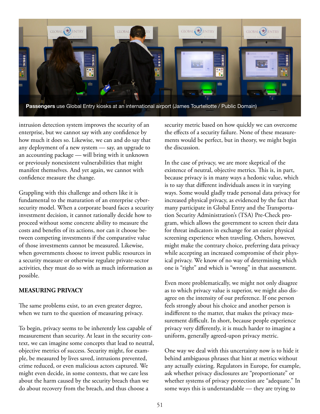

intrusion detection system improves the security of an enterprise, but we cannot say with any confdence by how much it does so. Likewise, we can and do say that any deployment of a new system — say, an upgrade to an accounting package — will bring with it unknown or previously nonexistent vulnerabilities that might manifest themselves. And yet again, we cannot with confdence measure the change.

Grappling with this challenge and others like it is fundamental to the maturation of an enterprise cybersecurity model. When a corporate board faces a security investment decision, it cannot rationally decide how to proceed without some concrete ability to measure the costs and benefts of its actions, nor can it choose between competing investments if the comparative value of those investments cannot be measured. Likewise, when governments choose to invest public resources in a security measure or otherwise regulate private-sector activities, they must do so with as much information as possible.

#### **MEASURING PRIVACY**

The same problems exist, to an even greater degree, when we turn to the question of measuring privacy.

To begin, privacy seems to be inherently less capable of measurement than security. At least in the security context, we can imagine some concepts that lead to neutral, objective metrics of success. Security might, for example, be measured by lives saved, intrusions prevented, crime reduced, or even malicious actors captured. We might even decide, in some contexts, that we care less about the harm caused by the security breach than we do about recovery from the breach, and thus choose a

security metric based on how quickly we can overcome the effects of a security failure. None of these measurements would be perfect, but in theory, we might begin the discussion.

In the case of privacy, we are more skeptical of the existence of neutral, objective metrics. This is, in part, because privacy is in many ways a hedonic value, which is to say that diferent individuals assess it in varying ways. Some would gladly trade personal data privacy for increased physical privacy, as evidenced by the fact that many participate in Global Entry and the Transportation Security Administration's (TSA) Pre-Check program, which allows the government to screen their data for threat indicators in exchange for an easier physical screening experience when traveling. Others, however, might make the contrary choice, preferring data privacy while accepting an increased compromise of their physical privacy. We know of no way of determining which one is "right" and which is "wrong" in that assessment.

Even more problematically, we might not only disagree as to which privacy value is superior, we might also disagree on the intensity of our preference. If one person feels strongly about his choice and another person is indiferent to the matter, that makes the privacy measurement difficult. In short, because people experience privacy very diferently, it is much harder to imagine a uniform, generally agreed-upon privacy metric.

One way we deal with this uncertainty now is to hide it behind ambiguous phrases that hint at metrics without any actually existing. Regulators in Europe, for example, ask whether privacy disclosures are "proportionate" or whether systems of privacy protection are "adequate." In some ways this is understandable — they are trying to